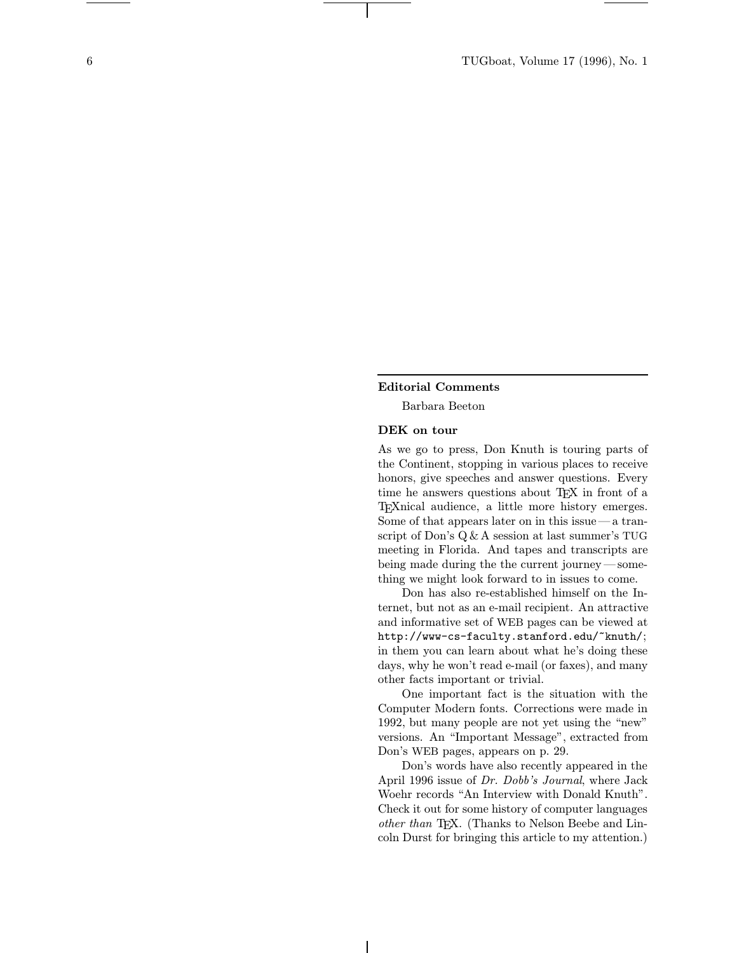## Editorial Comments

Barbara Beeton

## DEK on tour

As we go to press, Don Knuth is touring parts of the Continent, stopping in various places to receive honors, give speeches and answer questions. Every time he answers questions about T<sub>EX</sub> in front of a TEXnical audience, a little more history emerges. Some of that appears later on in this issue—a transcript of Don's Q &A session at last summer's TUG meeting in Florida. And tapes and transcripts are being made during the the current journey —something we might look forward to in issues to come.

Don has also re-established himself on the Internet, but not as an e-mail recipient. An attractive and informative set of WEB pages can be viewed at http://www-cs-faculty.stanford.edu/~knuth/; in them you can learn about what he's doing these days, why he won't read e-mail (or faxes), and many other facts important or trivial.

One important fact is the situation with the Computer Modern fonts. Corrections were made in 1992, but many people are not yet using the "new" versions. An "Important Message", extracted from Don's WEB pages, appears on p. 29.

Don's words have also recently appeared in the April 1996 issue of Dr. Dobb's Journal, where Jack Woehr records "An Interview with Donald Knuth". Check it out for some history of computer languages other than TEX. (Thanks to Nelson Beebe and Lincoln Durst for bringing this article to my attention.)